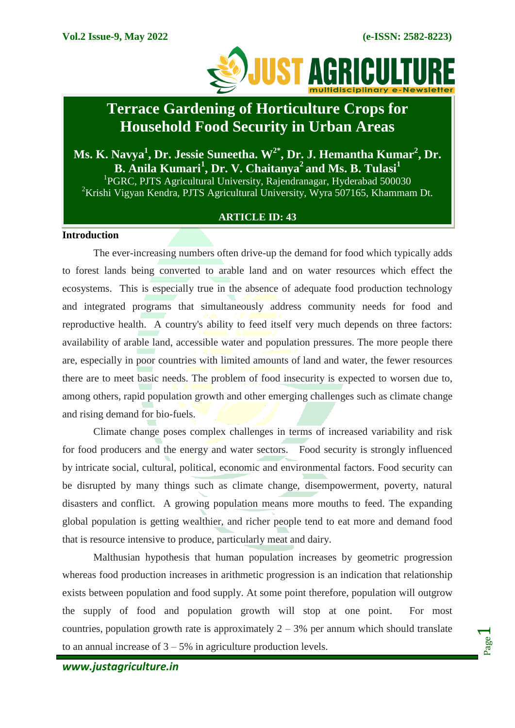

# **Terrace Gardening of Horticulture Crops for Household Food Security in Urban Areas**

**Ms. K. Navya<sup>1</sup> , Dr. Jessie Suneetha. W2\*, Dr. J. Hemantha Kumar<sup>2</sup> , Dr. B. Anila Kumari<sup>1</sup> , Dr. V. Chaitanya<sup>2</sup>and Ms. B. Tulasi<sup>1</sup>** <sup>1</sup>PGRC, PJTS Agricultural University, Rajendranagar, Hyderabad 500030

 ${}^{2}$ Krishi Vigyan Kendra, PJTS Agricultural University, Wyra 507165, Khammam Dt.

## **ARTICLE ID: 43**

#### **Introduction**

The ever-increasing numbers often drive-up the demand for food which typically adds to forest lands being converted to arable land and on water resources which effect the ecosystems. This is especially true in the absence of adequate food production technology and integrated programs that simultaneously address community needs for food and reproductive health. A country's ability to feed itself very much depends on three factors: availability of arable land, accessible water and population pressures. The more people there are, especially in poor countries with limited amounts of land and water, the fewer resources there are to meet basic needs. The problem of food insecurity is expected to worsen due to, among others, rapid population growth and other emerging challenges such as climate change and rising demand for bio-fuels.

Climate change poses complex challenges in terms of increased variability and risk for food producers and the energy and water sectors. Food security is strongly influenced by intricate social, cultural, political, economic and environmental factors. Food security can be disrupted by many things such as climate change, disempowerment, poverty, natural disasters and conflict. A growing population means more mouths to feed. The expanding global population is getting wealthier, and richer people tend to eat more and demand food that is resource intensive to produce, particularly meat and dairy.

Malthusian hypothesis that human population increases by geometric progression whereas food production increases in arithmetic progression is an indication that relationship exists between population and food supply. At some point therefore, population will outgrow the supply of food and population growth will stop at one point. For most countries, population growth rate is approximately  $2 - 3%$  per annum which should translate to an annual increase of  $3 - 5\%$  in agriculture production levels.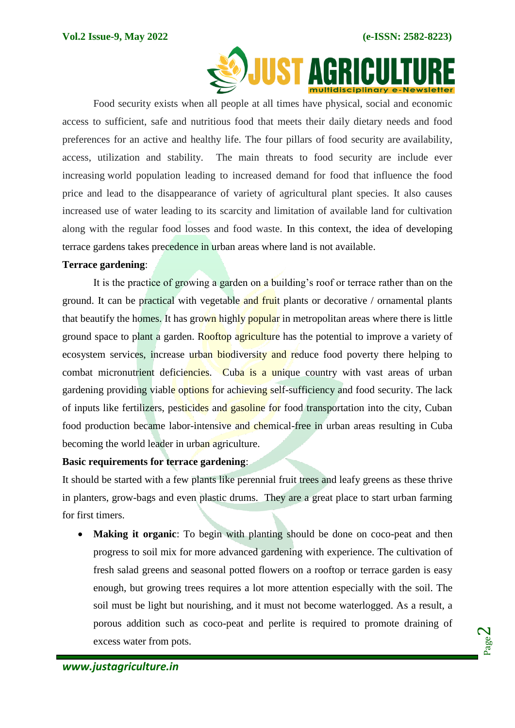

Food security exists when all people at all times have physical, social and economic access to sufficient, safe and nutritious food that meets their daily dietary needs and food preferences for an active and healthy life. The four pillars of food security are availability, access, utilization and stability. The main threats to food security are include ever increasing world population leading to increased demand for food that influence the food price and lead to the disappearance of variety of agricultural plant species. It also causes increased use of water leading to its scarcity and limitation of available land for cultivation along with the regular food losses and food waste. In this context, the idea of developing terrace gardens takes precedence in urban areas where land is not available.

## **Terrace gardening**:

It is the practice of growing a garden on a building's roof or terrace rather than on the ground. It can be practical with vegetable and fruit plants or decorative / ornamental plants that beautify the homes. It has grown highly popular in metropolitan areas where there is little ground space to plant a garden. Rooftop agriculture has the potential to improve a variety of ecosystem services, increase urban biodiversity and reduce food poverty there helping to combat micronutrient deficiencies. Cuba is a unique country with vast areas of urban gardening providing viable options for achieving self-sufficiency and food security. The lack of inputs like fertilizers, pesticides and gasoline for food transportation into the city, Cuban food production became labor-intensive and chemical-free in urban areas resulting in Cuba becoming the world leader in urban agriculture.

# **Basic requirements for terrace gardening**:

It should be started with a few plants like perennial fruit trees and leafy greens as these thrive in planters, grow-bags and even plastic drums. They are a great place to start urban farming for first timers.

 **Making it organic**: To begin with planting should be done on coco-peat and then progress to soil mix for more advanced gardening with experience. The cultivation of fresh salad greens and seasonal potted flowers on a rooftop or terrace garden is easy enough, but growing trees requires a lot more attention especially with the soil. The soil must be light but nourishing, and it must not become waterlogged. As a result, a porous addition such as coco-peat and perlite is required to promote draining of excess water from pots.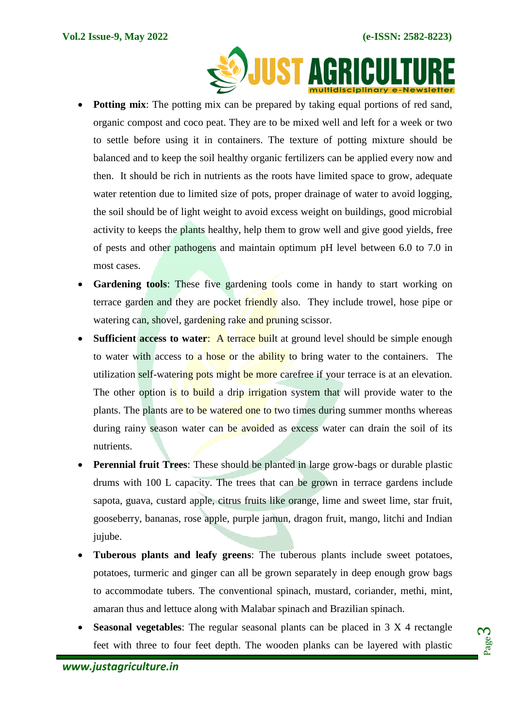

- **Potting mix**: The potting mix can be prepared by taking equal portions of red sand, organic compost and coco peat. They are to be mixed well and left for a week or two to settle before using it in containers. The texture of potting mixture should be balanced and to keep the soil healthy organic fertilizers can be applied every now and then. It should be rich in nutrients as the roots have limited space to grow, adequate water retention due to limited size of pots, proper drainage of water to avoid logging, the soil should be of light weight to avoid excess weight on buildings, good microbial activity to keeps the plants healthy, help them to grow well and give good yields, free of pests and other pathogens and maintain optimum pH level between 6.0 to 7.0 in most cases.
- Gardening tools: These five gardening tools come in handy to start working on terrace garden and they are pocket friendly also. They include trowel, hose pipe or watering can, shovel, gardening rake and pruning scissor.
- **Sufficient access to water:** A terrace built at ground level should be simple enough to water with access to a hose or the ability to bring water to the containers. The utilization self-watering pots might be more carefree if your terrace is at an elevation. The other option is to build a drip irrigation system that will provide water to the plants. The plants are to be watered one to two times during summer months whereas during rainy season water can be avoided as excess water can drain the soil of its nutrients.
- **Perennial fruit Trees**: These should be planted in large grow-bags or durable plastic drums with 100 L capacity. The trees that can be grown in terrace gardens include sapota, guava, custard apple, citrus fruits like orange, lime and sweet lime, star fruit, gooseberry, bananas, rose apple, purple jamun, dragon fruit, mango, litchi and Indian jujube.
- **Tuberous plants and leafy greens**: The tuberous plants include sweet potatoes, potatoes, turmeric and ginger can all be grown separately in deep enough grow bags to accommodate tubers. The conventional spinach, mustard, coriander, methi, mint, amaran thus and lettuce along with Malabar spinach and Brazilian spinach.
- **Seasonal vegetables**: The regular seasonal plants can be placed in 3 X 4 rectangle feet with three to four feet depth. The wooden planks can be layered with plastic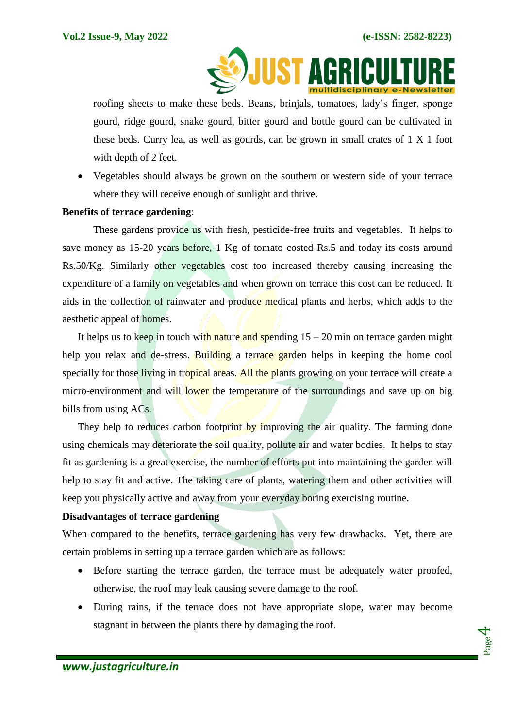

roofing sheets to make these beds. Beans, brinjals, tomatoes, lady's finger, sponge gourd, ridge gourd, snake gourd, bitter gourd and bottle gourd can be cultivated in these beds. Curry lea, as well as gourds, can be grown in small crates of 1 X 1 foot with depth of 2 feet.

 Vegetables should always be grown on the southern or western side of your terrace where they will receive enough of sunlight and thrive.

#### **Benefits of terrace gardening**:

These gardens provide us with fresh, pesticide-free fruits and vegetables. It helps to save money as 15-20 years before, 1 Kg of tomato costed Rs.5 and today its costs around Rs.50/Kg. Similarly other vegetables cost too increased thereby causing increasing the expenditure of a family on vegetables and when grown on terrace this cost can be reduced. It aids in the collection of rainwater and produce medical plants and herbs, which adds to the aesthetic appeal of homes.

It helps us to keep in touch with nature and spending  $15 - 20$  min on terrace garden might help you relax and de-stress. Building a terrace garden helps in keeping the home cool specially for those living in tropical areas. All the plants growing on your terrace will create a micro-environment and will lower the temperature of the surroundings and save up on big bills from using ACs.

They help to reduces carbon footprint by improving the air quality. The farming done using chemicals may deteriorate the soil quality, pollute air and water bodies. It helps to stay fit as gardening is a great exercise, the number of efforts put into maintaining the garden will help to stay fit and active. The taking care of plants, watering them and other activities will keep you physically active and away from your everyday boring exercising routine.

# **Disadvantages of terrace gardening**

When compared to the benefits, terrace gardening has very few drawbacks. Yet, there are certain problems in setting up a terrace garden which are as follows:

- Before starting the terrace garden, the terrace must be adequately water proofed, otherwise, the roof may leak causing severe damage to the roof.
- During rains, if the terrace does not have appropriate slope, water may become stagnant in between the plants there by damaging the roof.